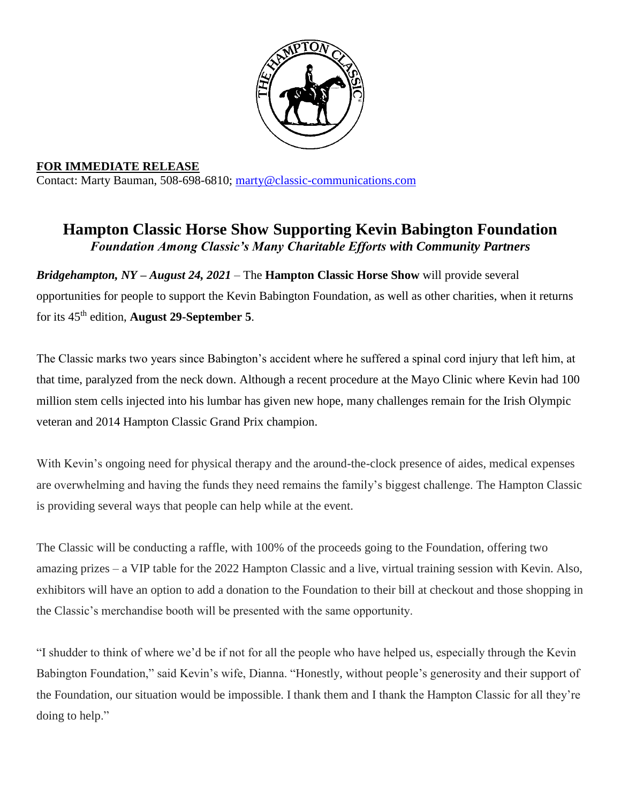

**FOR IMMEDIATE RELEASE** Contact: Marty Bauman, 508-698-6810; [marty@classic-communications.com](about:blank)

## **Hampton Classic Horse Show Supporting Kevin Babington Foundation** *Foundation Among Classic's Many Charitable Efforts with Community Partners*

*Bridgehampton, NY – August 24, 2021 –* The **Hampton Classic Horse Show** will provide several opportunities for people to support the Kevin Babington Foundation, as well as other charities, when it returns for its 45th edition, **August 29-September 5**.

The Classic marks two years since Babington's accident where he suffered a spinal cord injury that left him, at that time, paralyzed from the neck down. Although a recent procedure at the Mayo Clinic where Kevin had 100 million stem cells injected into his lumbar has given new hope, many challenges remain for the Irish Olympic veteran and 2014 Hampton Classic Grand Prix champion.

With Kevin's ongoing need for physical therapy and the around-the-clock presence of aides, medical expenses are overwhelming and having the funds they need remains the family's biggest challenge. The Hampton Classic is providing several ways that people can help while at the event.

The Classic will be conducting a raffle, with 100% of the proceeds going to the Foundation, offering two amazing prizes – a VIP table for the 2022 Hampton Classic and a live, virtual training session with Kevin. Also, exhibitors will have an option to add a donation to the Foundation to their bill at checkout and those shopping in the Classic's merchandise booth will be presented with the same opportunity.

"I shudder to think of where we'd be if not for all the people who have helped us, especially through the Kevin Babington Foundation," said Kevin's wife, Dianna. "Honestly, without people's generosity and their support of the Foundation, our situation would be impossible. I thank them and I thank the Hampton Classic for all they're doing to help."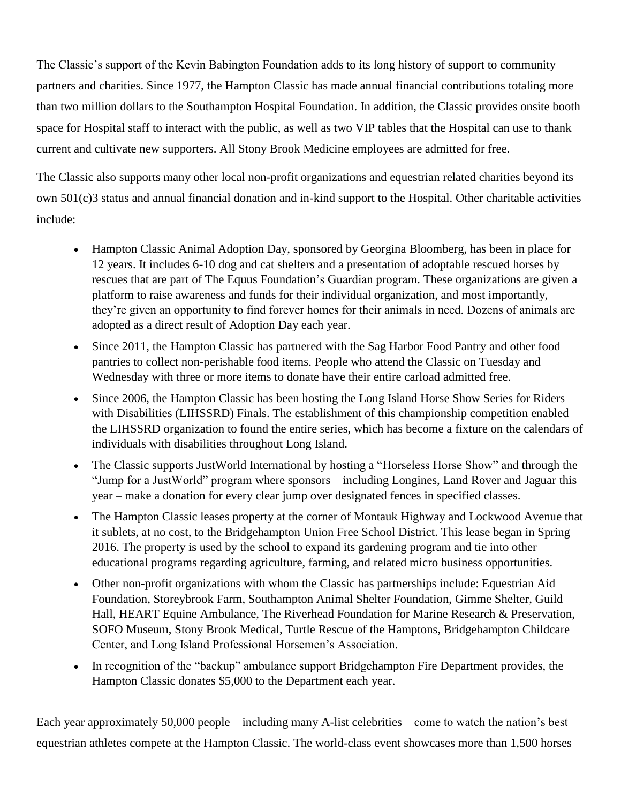The Classic's support of the Kevin Babington Foundation adds to its long history of support to community partners and charities. Since 1977, the Hampton Classic has made annual financial contributions totaling more than two million dollars to the Southampton Hospital Foundation. In addition, the Classic provides onsite booth space for Hospital staff to interact with the public, as well as two VIP tables that the Hospital can use to thank current and cultivate new supporters. All Stony Brook Medicine employees are admitted for free.

The Classic also supports many other local non-profit organizations and equestrian related charities beyond its own 501(c)3 status and annual financial donation and in-kind support to the Hospital. Other charitable activities include:

- Hampton Classic Animal Adoption Day, sponsored by Georgina Bloomberg, has been in place for 12 years. It includes 6-10 dog and cat shelters and a presentation of adoptable rescued horses by rescues that are part of The Equus Foundation's Guardian program. These organizations are given a platform to raise awareness and funds for their individual organization, and most importantly, they're given an opportunity to find forever homes for their animals in need. Dozens of animals are adopted as a direct result of Adoption Day each year.
- Since 2011, the Hampton Classic has partnered with the Sag Harbor Food Pantry and other food pantries to collect non-perishable food items. People who attend the Classic on Tuesday and Wednesday with three or more items to donate have their entire carload admitted free.
- Since 2006, the Hampton Classic has been hosting the Long Island Horse Show Series for Riders with Disabilities (LIHSSRD) Finals. The establishment of this championship competition enabled the LIHSSRD organization to found the entire series, which has become a fixture on the calendars of individuals with disabilities throughout Long Island.
- The Classic supports JustWorld International by hosting a "Horseless Horse Show" and through the "Jump for a JustWorld" program where sponsors – including Longines, Land Rover and Jaguar this year – make a donation for every clear jump over designated fences in specified classes.
- The Hampton Classic leases property at the corner of Montauk Highway and Lockwood Avenue that it sublets, at no cost, to the Bridgehampton Union Free School District. This lease began in Spring 2016. The property is used by the school to expand its gardening program and tie into other educational programs regarding agriculture, farming, and related micro business opportunities.
- Other non-profit organizations with whom the Classic has partnerships include: Equestrian Aid Foundation, Storeybrook Farm, Southampton Animal Shelter Foundation, Gimme Shelter, Guild Hall, HEART Equine Ambulance, The Riverhead Foundation for Marine Research & Preservation, SOFO Museum, Stony Brook Medical, Turtle Rescue of the Hamptons, Bridgehampton Childcare Center, and Long Island Professional Horsemen's Association.
- In recognition of the "backup" ambulance support Bridgehampton Fire Department provides, the Hampton Classic donates \$5,000 to the Department each year.

Each year approximately 50,000 people – including many A-list celebrities – come to watch the nation's best equestrian athletes compete at the Hampton Classic. The world-class event showcases more than 1,500 horses